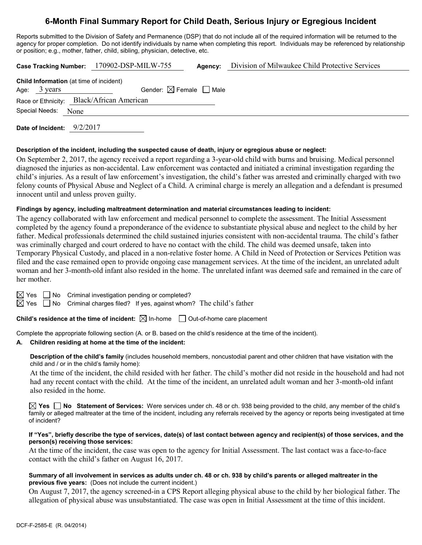# **6-Month Final Summary Report for Child Death, Serious Injury or Egregious Incident**

Reports submitted to the Division of Safety and Permanence (DSP) that do not include all of the required information will be returned to the agency for proper completion. Do not identify individuals by name when completing this report. Individuals may be referenced by relationship or position; e.g., mother, father, child, sibling, physician, detective, etc.

|                                                | Case Tracking Number: 170902-DSP-MILW-755 | Agency: | Division of Milwaukee Child Protective Services |
|------------------------------------------------|-------------------------------------------|---------|-------------------------------------------------|
| <b>Child Information</b> (at time of incident) |                                           |         |                                                 |
| Age: $3 \text{ years}$                         | Gender: $\boxtimes$ Female $\Box$ Male    |         |                                                 |
| Race or Ethnicity: Black/African American      |                                           |         |                                                 |
| Special Needs: None                            |                                           |         |                                                 |
| Date of Incident: 9/2/2017                     |                                           |         |                                                 |

**Description of the incident, including the suspected cause of death, injury or egregious abuse or neglect:**

On September 2, 2017, the agency received a report regarding a 3-year-old child with burns and bruising. Medical personnel diagnosed the injuries as non-accidental. Law enforcement was contacted and initiated a criminal investigation regarding the child's injuries. As a result of law enforcement's investigation, the child's father was arrested and criminally charged with two felony counts of Physical Abuse and Neglect of a Child. A criminal charge is merely an allegation and a defendant is presumed innocent until and unless proven guilty.

### **Findings by agency, including maltreatment determination and material circumstances leading to incident:**

The agency collaborated with law enforcement and medical personnel to complete the assessment. The Initial Assessment completed by the agency found a preponderance of the evidence to substantiate physical abuse and neglect to the child by her father. Medical professionals determined the child sustained injuries consistent with non-accidental trauma. The child's father was criminally charged and court ordered to have no contact with the child. The child was deemed unsafe, taken into Temporary Physical Custody, and placed in a non-relative foster home. A Child in Need of Protection or Services Petition was filed and the case remained open to provide ongoing case management services. At the time of the incident, an unrelated adult woman and her 3-month-old infant also resided in the home. The unrelated infant was deemed safe and remained in the care of her mother.

 $\boxtimes$  Yes  $\Box$  No Criminal investigation pending or completed?

 $\boxtimes$  Yes  $\Box$  No Criminal charges filed? If yes, against whom? The child's father

**Child's residence at the time of incident:**  $\boxtimes$  In-home  $\Box$  Out-of-home care placement

Complete the appropriate following section (A. or B. based on the child's residence at the time of the incident).

### **A. Children residing at home at the time of the incident:**

**Description of the child's family** (includes household members, noncustodial parent and other children that have visitation with the child and / or in the child's family home):

At the time of the incident, the child resided with her father. The child's mother did not reside in the household and had not had any recent contact with the child. At the time of the incident, an unrelated adult woman and her 3-month-old infant also resided in the home.

**Yes No Statement of Services:** Were services under ch. 48 or ch. 938 being provided to the child, any member of the child's family or alleged maltreater at the time of the incident, including any referrals received by the agency or reports being investigated at time of incident?

#### **If "Yes", briefly describe the type of services, date(s) of last contact between agency and recipient(s) of those services, and the person(s) receiving those services:**

At the time of the incident, the case was open to the agency for Initial Assessment. The last contact was a face-to-face contact with the child's father on August 16, 2017.

#### **Summary of all involvement in services as adults under ch. 48 or ch. 938 by child's parents or alleged maltreater in the previous five years:** (Does not include the current incident.)

On August 7, 2017, the agency screened-in a CPS Report alleging physical abuse to the child by her biological father. The allegation of physical abuse was unsubstantiated. The case was open in Initial Assessment at the time of this incident.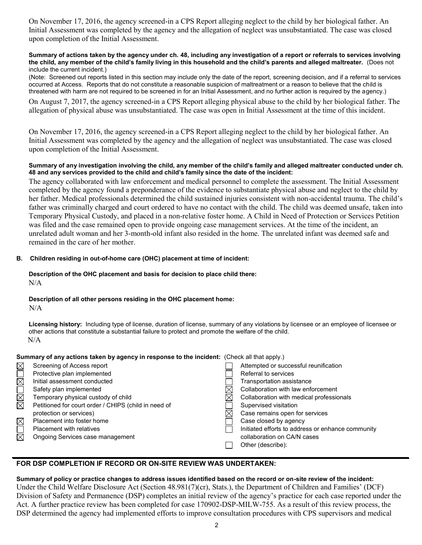On November 17, 2016, the agency screened-in a CPS Report alleging neglect to the child by her biological father. An Initial Assessment was completed by the agency and the allegation of neglect was unsubstantiated. The case was closed upon completion of the Initial Assessment.

#### **Summary of actions taken by the agency under ch. 48, including any investigation of a report or referrals to services involving the child, any member of the child's family living in this household and the child's parents and alleged maltreater.** (Does not include the current incident.)

(Note: Screened out reports listed in this section may include only the date of the report, screening decision, and if a referral to services occurred at Access. Reports that do not constitute a reasonable suspicion of maltreatment or a reason to believe that the child is threatened with harm are not required to be screened in for an Initial Assessment, and no further action is required by the agency.)

On August 7, 2017, the agency screened-in a CPS Report alleging physical abuse to the child by her biological father. The allegation of physical abuse was unsubstantiated. The case was open in Initial Assessment at the time of this incident.

On November 17, 2016, the agency screened-in a CPS Report alleging neglect to the child by her biological father. An Initial Assessment was completed by the agency and the allegation of neglect was unsubstantiated. The case was closed upon completion of the Initial Assessment.

### **Summary of any investigation involving the child, any member of the child's family and alleged maltreater conducted under ch. 48 and any services provided to the child and child's family since the date of the incident:**

The agency collaborated with law enforcement and medical personnel to complete the assessment. The Initial Assessment completed by the agency found a preponderance of the evidence to substantiate physical abuse and neglect to the child by her father. Medical professionals determined the child sustained injuries consistent with non-accidental trauma. The child's father was criminally charged and court ordered to have no contact with the child. The child was deemed unsafe, taken into Temporary Physical Custody, and placed in a non-relative foster home. A Child in Need of Protection or Services Petition was filed and the case remained open to provide ongoing case management services. At the time of the incident, an unrelated adult woman and her 3-month-old infant also resided in the home. The unrelated infant was deemed safe and remained in the care of her mother.

### **B. Children residing in out-of-home care (OHC) placement at time of incident:**

### **Description of the OHC placement and basis for decision to place child there:** N/A

# **Description of all other persons residing in the OHC placement home:**

 $N/A$ 

**Licensing history:** Including type of license, duration of license, summary of any violations by licensee or an employee of licensee or other actions that constitute a substantial failure to protect and promote the welfare of the child. N/A

### **Summary of any actions taken by agency in response to the incident:** (Check all that apply.)

| $\boxtimes$ | Screening of Access report                           | Attempted or successful reunification             |
|-------------|------------------------------------------------------|---------------------------------------------------|
|             | Protective plan implemented                          | Referral to services                              |
| $\boxtimes$ | Initial assessment conducted                         | Transportation assistance                         |
|             | Safety plan implemented                              | Collaboration with law enforcement                |
| $\boxtimes$ | Temporary physical custody of child                  | Collaboration with medical professionals          |
| $\boxtimes$ | Petitioned for court order / CHIPS (child in need of | Supervised visitation                             |
|             | protection or services)                              | Case remains open for services                    |
| $\boxtimes$ | Placement into foster home                           | Case closed by agency                             |
|             | <b>Placement with relatives</b>                      | Initiated efforts to address or enhance community |
| $\boxtimes$ | Ongoing Services case management                     | collaboration on CA/N cases                       |
|             |                                                      | Other (describe):                                 |

# **FOR DSP COMPLETION IF RECORD OR ON-SITE REVIEW WAS UNDERTAKEN:**

### **Summary of policy or practice changes to address issues identified based on the record or on-site review of the incident:** Under the Child Welfare Disclosure Act (Section 48.981(7)(cr), Stats.), the Department of Children and Families' (DCF) Division of Safety and Permanence (DSP) completes an initial review of the agency's practice for each case reported under the Act. A further practice review has been completed for case 170902-DSP-MILW-755. As a result of this review process, the DSP determined the agency had implemented efforts to improve consultation procedures with CPS supervisors and medical